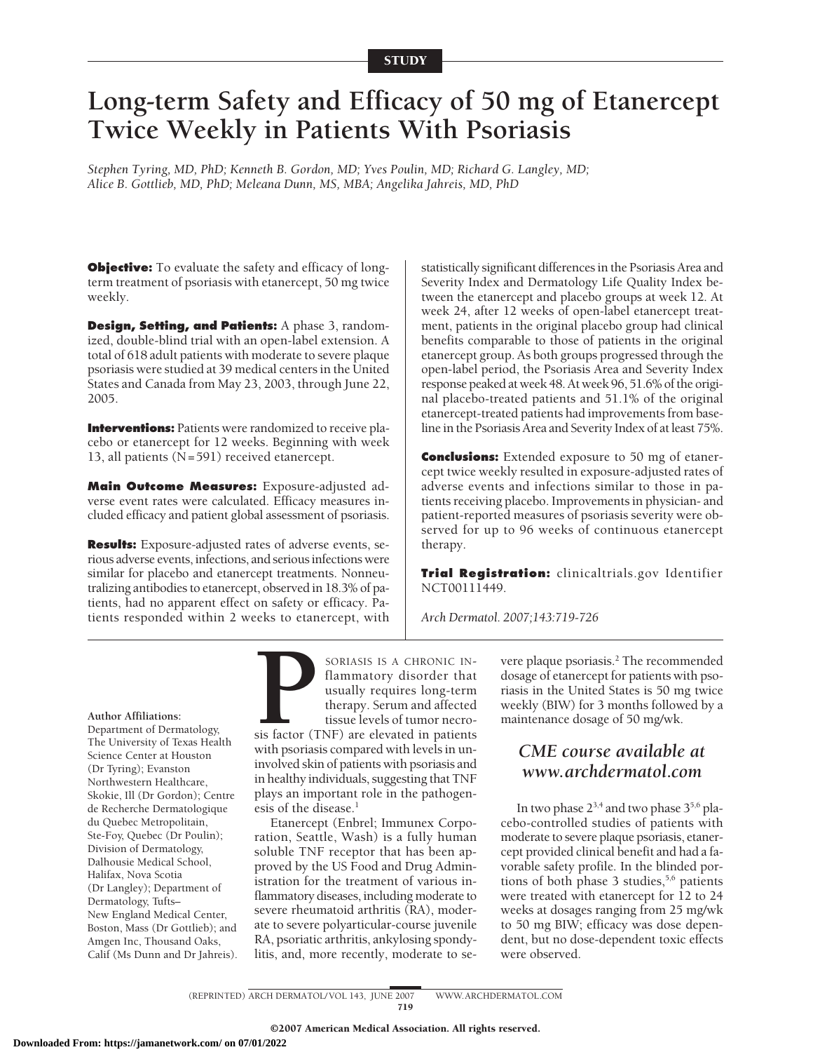# **Long-term Safety and Efficacy of 50 mg of Etanercept Twice Weekly in Patients With Psoriasis**

*Stephen Tyring, MD, PhD; Kenneth B. Gordon, MD; Yves Poulin, MD; Richard G. Langley, MD; Alice B. Gottlieb, MD, PhD; Meleana Dunn, MS, MBA; Angelika Jahreis, MD, PhD*

**Objective:** To evaluate the safety and efficacy of longterm treatment of psoriasis with etanercept, 50 mg twice weekly.

**Design, Setting, and Patients:** A phase 3, randomized, double-blind trial with an open-label extension. A total of 618 adult patients with moderate to severe plaque psoriasis were studied at 39 medical centers in the United States and Canada from May 23, 2003, through June 22, 2005.

**Interventions:** Patients were randomized to receive placebo or etanercept for 12 weeks. Beginning with week 13, all patients (N=591) received etanercept.

**Main Outcome Measures:** Exposure-adjusted adverse event rates were calculated. Efficacy measures included efficacy and patient global assessment of psoriasis.

**Results:** Exposure-adjusted rates of adverse events, serious adverse events, infections, and serious infections were similar for placebo and etanercept treatments. Nonneutralizing antibodies to etanercept, observed in 18.3% of patients, had no apparent effect on safety or efficacy. Patients responded within 2 weeks to etanercept, with statistically significant differences in the Psoriasis Area and Severity Index and Dermatology Life Quality Index between the etanercept and placebo groups at week 12. At week 24, after 12 weeks of open-label etanercept treatment, patients in the original placebo group had clinical benefits comparable to those of patients in the original etanercept group. As both groups progressed through the open-label period, the Psoriasis Area and Severity Index response peaked at week 48. At week 96, 51.6% of the original placebo-treated patients and 51.1% of the original etanercept-treated patients had improvements from baseline in the Psoriasis Area and Severity Index of at least 75%.

**Conclusions:** Extended exposure to 50 mg of etanercept twice weekly resulted in exposure-adjusted rates of adverse events and infections similar to those in patients receiving placebo. Improvements in physician- and patient-reported measures of psoriasis severity were observed for up to 96 weeks of continuous etanercept therapy.

**Trial Registration:** clinicaltrials.gov Identifier NCT00111449.

*Arch Dermatol. 2007;143:719-726*

#### **Author Affiliations:**

Department of Dermatology, The University of Texas Health Science Center at Houston (Dr Tyring); Evanston Northwestern Healthcare, Skokie, Ill (Dr Gordon); Centre de Recherche Dermatologique du Quebec Metropolitain, Ste-Foy, Quebec (Dr Poulin); Division of Dermatology, Dalhousie Medical School, Halifax, Nova Scotia (Dr Langley); Department of Dermatology, Tufts– New England Medical Center, Boston, Mass (Dr Gottlieb); and Amgen Inc, Thousand Oaks, Calif (Ms Dunn and Dr Jahreis). **PORTASIS IS A CHRONIC IN-**<br> **PORTASIS IS A CHRONIC IN-**<br> **PORTASIS IS A CHRONIC IN-<br>
usually requires long-term**<br>
therapy. Serum and affected<br>
tissue levels of tumor necro-<br>
sis factor (TNF) are elevated in patients<br>
with flammatory disorder that usually requires long-term therapy. Serum and affected tissue levels of tumor necro-

sis factor (TNF) are elevated in patients with psoriasis compared with levels in uninvolved skin of patients with psoriasis and in healthy individuals, suggesting that TNF plays an important role in the pathogenesis of the disease.<sup>1</sup>

Etanercept (Enbrel; Immunex Corporation, Seattle, Wash) is a fully human soluble TNF receptor that has been approved by the US Food and Drug Administration for the treatment of various inflammatory diseases, including moderate to severe rheumatoid arthritis (RA), moderate to severe polyarticular-course juvenile RA, psoriatic arthritis, ankylosing spondylitis, and, more recently, moderate to severe plaque psoriasis.<sup>2</sup> The recommended dosage of etanercept for patients with psoriasis in the United States is 50 mg twice weekly (BIW) for 3 months followed by a maintenance dosage of 50 mg/wk.

# *CME course available at www.archdermatol.com*

In two phase  $2^{3,4}$  and two phase  $3^{5,6}$  placebo-controlled studies of patients with moderate to severe plaque psoriasis, etanercept provided clinical benefit and had a favorable safety profile. In the blinded portions of both phase 3 studies, $5,6$  patients were treated with etanercept for 12 to 24 weeks at dosages ranging from 25 mg/wk to 50 mg BIW; efficacy was dose dependent, but no dose-dependent toxic effects were observed.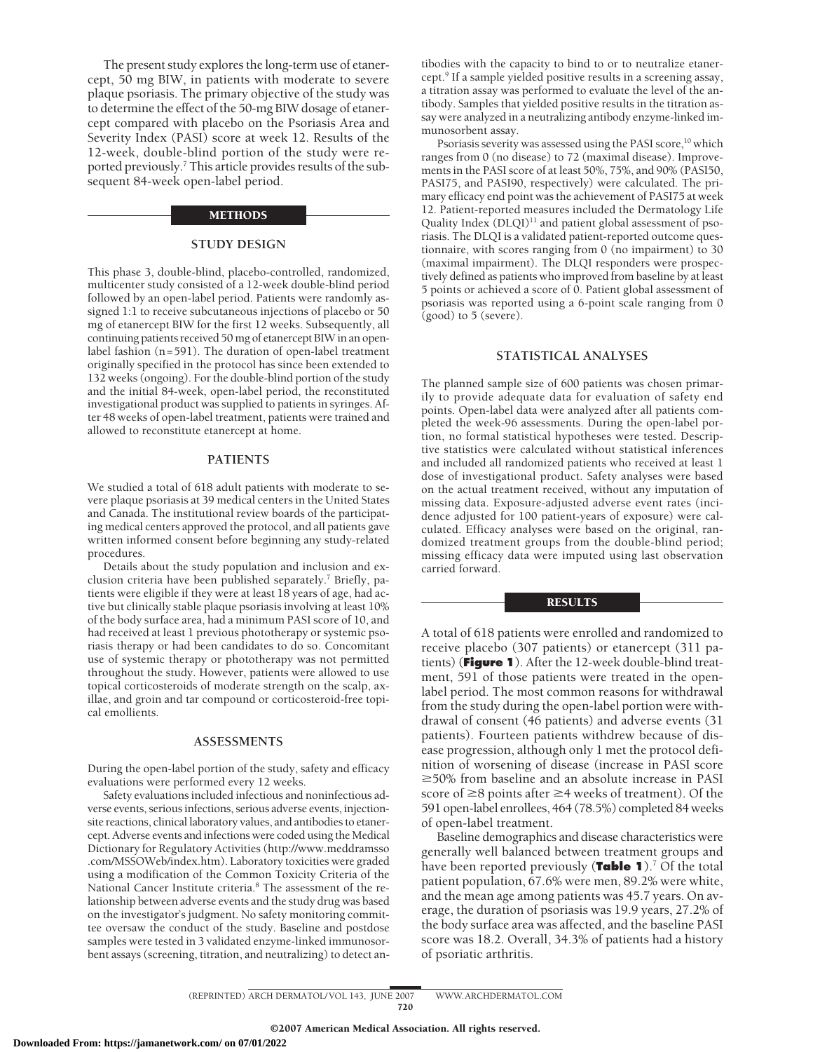The present study explores the long-term use of etanercept, 50 mg BIW, in patients with moderate to severe plaque psoriasis. The primary objective of the study was to determine the effect of the 50-mg BIW dosage of etanercept compared with placebo on the Psoriasis Area and Severity Index (PASI) score at week 12. Results of the 12-week, double-blind portion of the study were reported previously.<sup>7</sup> This article provides results of the subsequent 84-week open-label period.

#### METHODS

# **STUDY DESIGN**

This phase 3, double-blind, placebo-controlled, randomized, multicenter study consisted of a 12-week double-blind period followed by an open-label period. Patients were randomly assigned 1:1 to receive subcutaneous injections of placebo or 50 mg of etanercept BIW for the first 12 weeks. Subsequently, all continuing patients received 50 mg of etanercept BIW in an openlabel fashion (n=591). The duration of open-label treatment originally specified in the protocol has since been extended to 132 weeks (ongoing). For the double-blind portion of the study and the initial 84-week, open-label period, the reconstituted investigational product was supplied to patients in syringes. After 48 weeks of open-label treatment, patients were trained and allowed to reconstitute etanercept at home.

# **PATIENTS**

We studied a total of 618 adult patients with moderate to severe plaque psoriasis at 39 medical centers in the United States and Canada. The institutional review boards of the participating medical centers approved the protocol, and all patients gave written informed consent before beginning any study-related procedures.

Details about the study population and inclusion and exclusion criteria have been published separately.<sup>7</sup> Briefly, patients were eligible if they were at least 18 years of age, had active but clinically stable plaque psoriasis involving at least 10% of the body surface area, had a minimum PASI score of 10, and had received at least 1 previous phototherapy or systemic psoriasis therapy or had been candidates to do so. Concomitant use of systemic therapy or phototherapy was not permitted throughout the study. However, patients were allowed to use topical corticosteroids of moderate strength on the scalp, axillae, and groin and tar compound or corticosteroid-free topical emollients.

#### **ASSESSMENTS**

During the open-label portion of the study, safety and efficacy evaluations were performed every 12 weeks.

Safety evaluations included infectious and noninfectious adverse events, serious infections, serious adverse events, injectionsite reactions, clinical laboratory values, and antibodies to etanercept. Adverse events and infections were coded using the Medical Dictionary for Regulatory Activities (http://www.meddramsso .com/MSSOWeb/index.htm). Laboratory toxicities were graded using a modification of the Common Toxicity Criteria of the National Cancer Institute criteria.8 The assessment of the relationship between adverse events and the study drug was based on the investigator's judgment. No safety monitoring committee oversaw the conduct of the study. Baseline and postdose samples were tested in 3 validated enzyme-linked immunosorbent assays (screening, titration, and neutralizing) to detect an-

tibodies with the capacity to bind to or to neutralize etanercept.9 If a sample yielded positive results in a screening assay, a titration assay was performed to evaluate the level of the antibody. Samples that yielded positive results in the titration assay were analyzed in a neutralizing antibody enzyme-linked immunosorbent assay.

Psoriasis severity was assessed using the PASI score,<sup>10</sup> which ranges from 0 (no disease) to 72 (maximal disease). Improvements in the PASI score of at least 50%, 75%, and 90% (PASI50, PASI75, and PASI90, respectively) were calculated. The primary efficacy end point was the achievement of PASI75 at week 12. Patient-reported measures included the Dermatology Life Quality Index  $(DLQI)^{11}$  and patient global assessment of psoriasis. The DLQI is a validated patient-reported outcome questionnaire, with scores ranging from 0 (no impairment) to 30 (maximal impairment). The DLQI responders were prospectively defined as patients who improved from baseline by at least 5 points or achieved a score of 0. Patient global assessment of psoriasis was reported using a 6-point scale ranging from 0 (good) to 5 (severe).

## **STATISTICAL ANALYSES**

The planned sample size of 600 patients was chosen primarily to provide adequate data for evaluation of safety end points. Open-label data were analyzed after all patients completed the week-96 assessments. During the open-label portion, no formal statistical hypotheses were tested. Descriptive statistics were calculated without statistical inferences and included all randomized patients who received at least 1 dose of investigational product. Safety analyses were based on the actual treatment received, without any imputation of missing data. Exposure-adjusted adverse event rates (incidence adjusted for 100 patient-years of exposure) were calculated. Efficacy analyses were based on the original, randomized treatment groups from the double-blind period; missing efficacy data were imputed using last observation carried forward.

#### RESULTS

A total of 618 patients were enrolled and randomized to receive placebo (307 patients) or etanercept (311 patients) (**Figure 1**). After the 12-week double-blind treatment, 591 of those patients were treated in the openlabel period. The most common reasons for withdrawal from the study during the open-label portion were withdrawal of consent (46 patients) and adverse events (31 patients). Fourteen patients withdrew because of disease progression, although only 1 met the protocol definition of worsening of disease (increase in PASI score  $\geq$ 50% from baseline and an absolute increase in PASI score of  $\geq$ 8 points after  $\geq$ 4 weeks of treatment). Of the 591 open-label enrollees, 464 (78.5%) completed 84 weeks of open-label treatment.

Baseline demographics and disease characteristics were generally well balanced between treatment groups and have been reported previously (**Table 1**).7 Of the total patient population, 67.6% were men, 89.2% were white, and the mean age among patients was 45.7 years. On average, the duration of psoriasis was 19.9 years, 27.2% of the body surface area was affected, and the baseline PASI score was 18.2. Overall, 34.3% of patients had a history of psoriatic arthritis.

(REPRINTED) ARCH DERMATOL/ VOL 143, JUNE 2007 WWW.ARCHDERMATOL.COM 720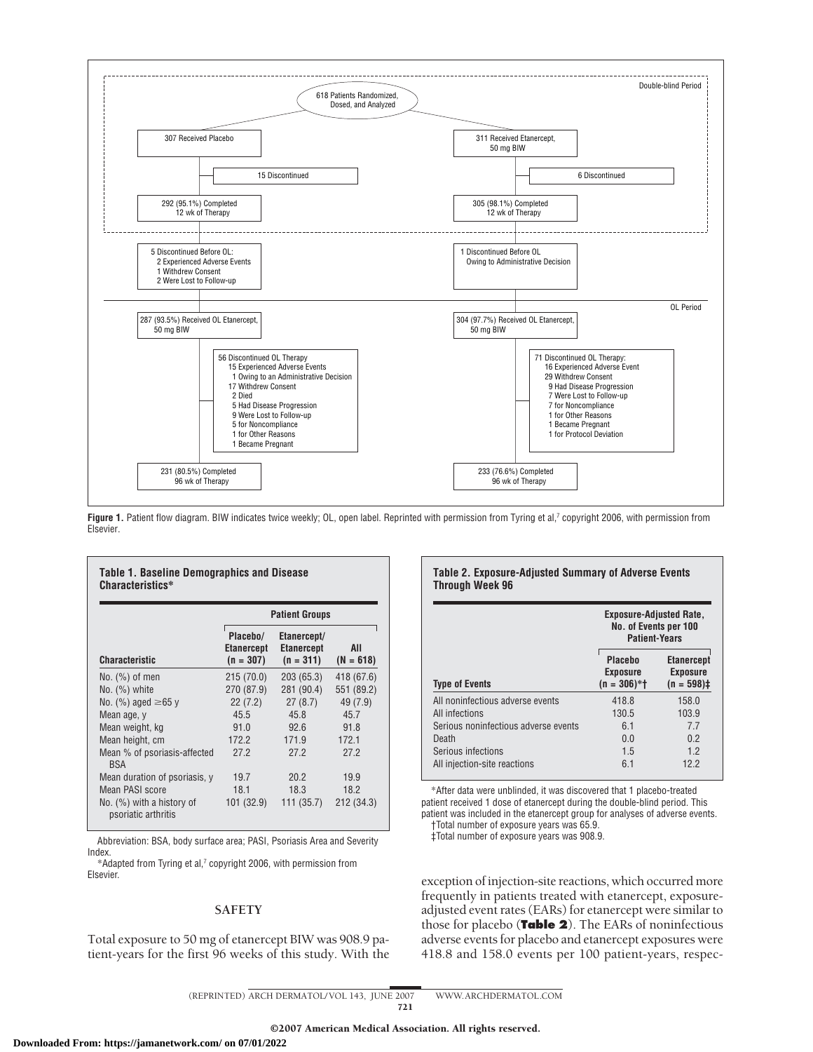

Figure 1. Patient flow diagram. BIW indicates twice weekly; OL, open label. Reprinted with permission from Tyring et al,<sup>7</sup> copyright 2006, with permission from Elsevier.

|                                                  | <b>Patient Groups</b>                        |                                                 |                    |  |
|--------------------------------------------------|----------------------------------------------|-------------------------------------------------|--------------------|--|
| <b>Characteristic</b>                            | Placebo/<br><b>Etanercept</b><br>$(n = 307)$ | Etanercept/<br><b>Etanercept</b><br>$(n = 311)$ | AII<br>$(N = 618)$ |  |
| $No.$ $(\%)$ of men                              | 215(70.0)                                    | 203 (65.3)                                      | 418 (67.6)         |  |
| $No.$ $(\%)$ white                               | 270 (87.9)                                   | 281 (90.4)                                      | 551 (89.2)         |  |
| No. (%) aged $\geq 65$ y                         | 22(7.2)                                      | 27(8.7)                                         | 49 (7.9)           |  |
| Mean age, y                                      | 45.5                                         | 45.8                                            | 45.7               |  |
| Mean weight, kg                                  | 91.0                                         | 92.6                                            | 91.8               |  |
| Mean height, cm                                  | 172.2                                        | 171.9                                           | 172.1              |  |
| Mean % of psoriasis-affected<br><b>BSA</b>       | 27.2                                         | 27.2                                            | 27.2               |  |
| Mean duration of psoriasis, y                    | 19.7                                         | 20.2                                            | 19.9               |  |
| Mean PASI score                                  | 18.1                                         | 18.3                                            | 18.2               |  |
| No. (%) with a history of<br>psoriatic arthritis | 101 (32.9)                                   | 111(35.7)                                       | 212 (34.3)         |  |

Abbreviation: BSA, body surface area; PASI, Psoriasis Area and Severity Index.

\*Adapted from Tyring et al,7 copyright 2006, with permission from Elsevier.

# **SAFETY**

Total exposure to 50 mg of etanercept BIW was 908.9 patient-years for the first 96 weeks of this study. With the

### **Table 2. Exposure-Adjusted Summary of Adverse Events Through Week 96**

|                                      | <b>Exposure-Adjusted Rate,</b><br>No. of Events per 100<br><b>Patient-Years</b> |                                                       |  |
|--------------------------------------|---------------------------------------------------------------------------------|-------------------------------------------------------|--|
| <b>Type of Events</b>                | <b>Placebo</b><br><b>Exposure</b><br>$(n = 306)*+$                              | <b>Etanercept</b><br><b>Exposure</b><br>$(n = 598)$ ‡ |  |
| All noninfectious adverse events     | 418.8                                                                           | 158.0                                                 |  |
| All infections                       | 130.5                                                                           | 103.9                                                 |  |
| Serious noninfectious adverse events | 6.1                                                                             | 77                                                    |  |
| Death                                | 0.0                                                                             | 02                                                    |  |
| Serious infections                   | 1.5                                                                             | 12                                                    |  |
| All injection-site reactions         | 61                                                                              | 12.2                                                  |  |

\*After data were unblinded, it was discovered that 1 placebo-treated patient received 1 dose of etanercept during the double-blind period. This patient was included in the etanercept group for analyses of adverse events. †Total number of exposure years was 65.9.

‡Total number of exposure years was 908.9.

exception of injection-site reactions, which occurred more frequently in patients treated with etanercept, exposureadjusted event rates (EARs) for etanercept were similar to those for placebo (**Table 2**). The EARs of noninfectious adverse events for placebo and etanercept exposures were 418.8 and 158.0 events per 100 patient-years, respec-

<sup>(</sup>REPRINTED) ARCH DERMATOL/ VOL 143, JUNE 2007 WWW.ARCHDERMATOL.COM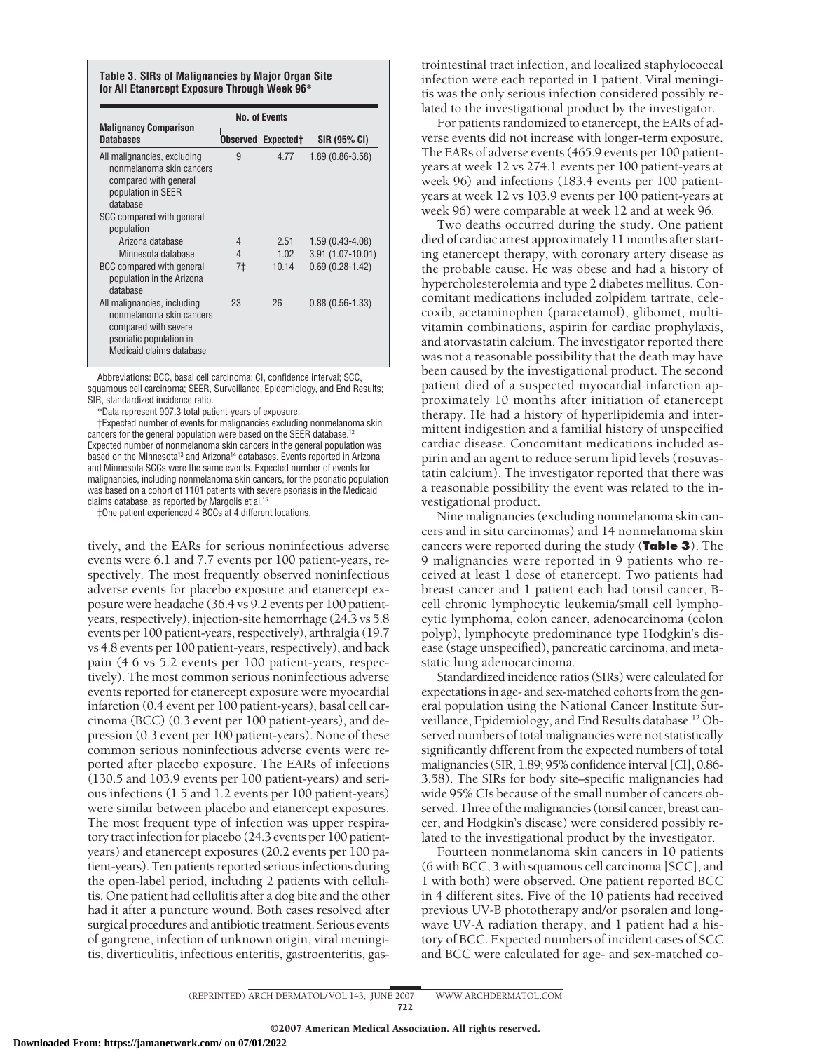#### **Table 3. SIRs of Malignancies by Major Organ Site for All Etanercept Exposure Through Week 96\***

| <b>Malignancy Comparison</b>                                                                                                                    | <b>No. of Events</b>      |       | SIR (95% CI)        |  |
|-------------------------------------------------------------------------------------------------------------------------------------------------|---------------------------|-------|---------------------|--|
| <b>Databases</b>                                                                                                                                | <b>Observed Expectedt</b> |       |                     |  |
| All malignancies, excluding<br>nonmelanoma skin cancers<br>compared with general<br>population in SEER<br>database<br>SCC compared with general | 9                         | 4.77  | $1.89(0.86 - 3.58)$ |  |
| population<br>Arizona database                                                                                                                  | 4                         | 2.51  | $1.59(0.43-4.08)$   |  |
| Minnesota database                                                                                                                              | 4                         | 1.02  | $3.91(1.07-10.01)$  |  |
| BCC compared with general<br>population in the Arizona<br>database                                                                              | 7‡                        | 10.14 | $0.69(0.28-1.42)$   |  |
| All malignancies, including<br>nonmelanoma skin cancers<br>compared with severe<br>psoriatic population in<br>Medicaid claims database          | 23                        | 26    | $0.88(0.56-1.33)$   |  |

Abbreviations: BCC, basal cell carcinoma; CI, confidence interval; SCC, squamous cell carcinoma; SEER, Surveillance, Epidemiology, and End Results; SIR, standardized incidence ratio.

\*Data represent 907.3 total patient-years of exposure.

†Expected number of events for malignancies excluding nonmelanoma skin cancers for the general population were based on the SEER database.<sup>12</sup> Expected number of nonmelanoma skin cancers in the general population was based on the Minnesota<sup>13</sup> and Arizona<sup>14</sup> databases. Events reported in Arizona and Minnesota SCCs were the same events. Expected number of events for malignancies, including nonmelanoma skin cancers, for the psoriatic population was based on a cohort of 1101 patients with severe psoriasis in the Medicaid claims database, as reported by Margolis et al.15

‡One patient experienced 4 BCCs at 4 different locations.

tively, and the EARs for serious noninfectious adverse events were 6.1 and 7.7 events per 100 patient-years, respectively. The most frequently observed noninfectious adverse events for placebo exposure and etanercept exposure were headache (36.4 vs 9.2 events per 100 patientyears, respectively), injection-site hemorrhage (24.3 vs 5.8 events per 100 patient-years, respectively), arthralgia (19.7 vs 4.8 events per 100 patient-years, respectively), and back pain (4.6 vs 5.2 events per 100 patient-years, respectively). The most common serious noninfectious adverse events reported for etanercept exposure were myocardial infarction (0.4 event per 100 patient-years), basal cell carcinoma (BCC) (0.3 event per 100 patient-years), and depression (0.3 event per 100 patient-years). None of these common serious noninfectious adverse events were reported after placebo exposure. The EARs of infections (130.5 and 103.9 events per 100 patient-years) and serious infections (1.5 and 1.2 events per 100 patient-years) were similar between placebo and etanercept exposures. The most frequent type of infection was upper respiratory tract infection for placebo (24.3 events per 100 patientyears) and etanercept exposures (20.2 events per 100 patient-years). Ten patients reported serious infections during the open-label period, including 2 patients with cellulitis. One patient had cellulitis after a dog bite and the other had it after a puncture wound. Both cases resolved after surgical procedures and antibiotic treatment. Serious events of gangrene, infection of unknown origin, viral meningitis, diverticulitis, infectious enteritis, gastroenteritis, gas-

trointestinal tract infection, and localized staphylococcal infection were each reported in 1 patient. Viral meningitis was the only serious infection considered possibly related to the investigational product by the investigator.

For patients randomized to etanercept, the EARs of adverse events did not increase with longer-term exposure. The EARs of adverse events (465.9 events per 100 patientyears at week 12 vs 274.1 events per 100 patient-years at week 96) and infections (183.4 events per 100 patientyears at week 12 vs 103.9 events per 100 patient-years at week 96) were comparable at week 12 and at week 96.

Two deaths occurred during the study. One patient died of cardiac arrest approximately 11 months after starting etanercept therapy, with coronary artery disease as the probable cause. He was obese and had a history of hypercholesterolemia and type 2 diabetes mellitus. Concomitant medications included zolpidem tartrate, celecoxib, acetaminophen (paracetamol), glibomet, multivitamin combinations, aspirin for cardiac prophylaxis, and atorvastatin calcium. The investigator reported there was not a reasonable possibility that the death may have been caused by the investigational product. The second patient died of a suspected myocardial infarction approximately 10 months after initiation of etanercept therapy. He had a history of hyperlipidemia and intermittent indigestion and a familial history of unspecified cardiac disease. Concomitant medications included aspirin and an agent to reduce serum lipid levels (rosuvastatin calcium). The investigator reported that there was a reasonable possibility the event was related to the investigational product.

Nine malignancies (excluding nonmelanoma skin cancers and in situ carcinomas) and 14 nonmelanoma skin cancers were reported during the study (**Table 3**). The 9 malignancies were reported in 9 patients who received at least 1 dose of etanercept. Two patients had breast cancer and 1 patient each had tonsil cancer, Bcell chronic lymphocytic leukemia/small cell lymphocytic lymphoma, colon cancer, adenocarcinoma (colon polyp), lymphocyte predominance type Hodgkin's disease (stage unspecified), pancreatic carcinoma, and metastatic lung adenocarcinoma.

Standardized incidence ratios (SIRs) were calculated for expectations in age- and sex-matched cohorts from the general population using the National Cancer Institute Surveillance, Epidemiology, and End Results database.<sup>12</sup> Observed numbers of total malignancies were not statistically significantly different from the expected numbers of total malignancies (SIR, 1.89; 95% confidence interval [CI], 0.86-3.58). The SIRs for body site–specific malignancies had wide 95% CIs because of the small number of cancers observed. Three of the malignancies (tonsil cancer, breast cancer, and Hodgkin's disease) were considered possibly related to the investigational product by the investigator.

Fourteen nonmelanoma skin cancers in 10 patients (6 with BCC, 3 with squamous cell carcinoma [SCC], and 1 with both) were observed. One patient reported BCC in 4 different sites. Five of the 10 patients had received previous UV-B phototherapy and/or psoralen and longwave UV-A radiation therapy, and 1 patient had a history of BCC. Expected numbers of incident cases of SCC and BCC were calculated for age- and sex-matched co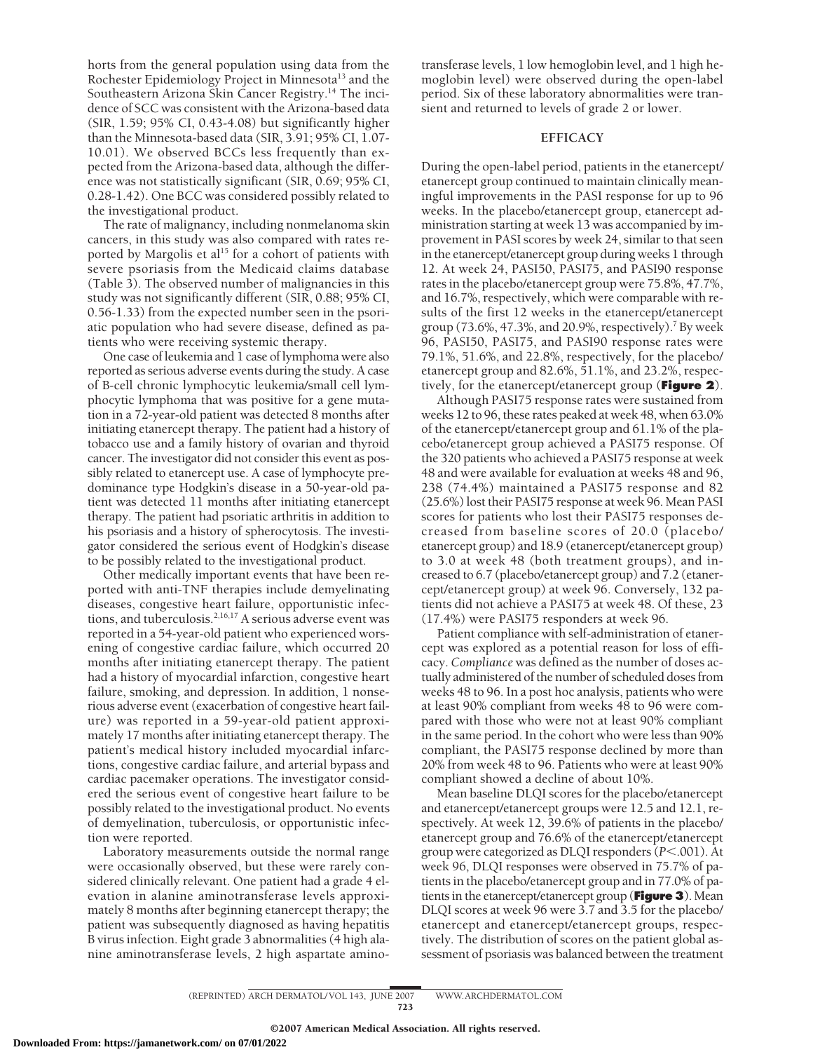horts from the general population using data from the Rochester Epidemiology Project in Minnesota<sup>13</sup> and the Southeastern Arizona Skin Cancer Registry.14 The incidence of SCC was consistent with the Arizona-based data (SIR, 1.59; 95% CI, 0.43-4.08) but significantly higher than the Minnesota-based data (SIR, 3.91; 95% CI, 1.07- 10.01). We observed BCCs less frequently than expected from the Arizona-based data, although the difference was not statistically significant (SIR, 0.69; 95% CI, 0.28-1.42). One BCC was considered possibly related to the investigational product.

The rate of malignancy, including nonmelanoma skin cancers, in this study was also compared with rates reported by Margolis et al<sup>15</sup> for a cohort of patients with severe psoriasis from the Medicaid claims database (Table 3). The observed number of malignancies in this study was not significantly different (SIR, 0.88; 95% CI, 0.56-1.33) from the expected number seen in the psoriatic population who had severe disease, defined as patients who were receiving systemic therapy.

One case of leukemia and 1 case of lymphoma were also reported as serious adverse events during the study. A case of B-cell chronic lymphocytic leukemia/small cell lymphocytic lymphoma that was positive for a gene mutation in a 72-year-old patient was detected 8 months after initiating etanercept therapy. The patient had a history of tobacco use and a family history of ovarian and thyroid cancer. The investigator did not consider this event as possibly related to etanercept use. A case of lymphocyte predominance type Hodgkin's disease in a 50-year-old patient was detected 11 months after initiating etanercept therapy. The patient had psoriatic arthritis in addition to his psoriasis and a history of spherocytosis. The investigator considered the serious event of Hodgkin's disease to be possibly related to the investigational product.

Other medically important events that have been reported with anti-TNF therapies include demyelinating diseases, congestive heart failure, opportunistic infections, and tuberculosis.<sup>2,16,17</sup> A serious adverse event was reported in a 54-year-old patient who experienced worsening of congestive cardiac failure, which occurred 20 months after initiating etanercept therapy. The patient had a history of myocardial infarction, congestive heart failure, smoking, and depression. In addition, 1 nonserious adverse event (exacerbation of congestive heart failure) was reported in a 59-year-old patient approximately 17 months after initiating etanercept therapy. The patient's medical history included myocardial infarctions, congestive cardiac failure, and arterial bypass and cardiac pacemaker operations. The investigator considered the serious event of congestive heart failure to be possibly related to the investigational product. No events of demyelination, tuberculosis, or opportunistic infection were reported.

Laboratory measurements outside the normal range were occasionally observed, but these were rarely considered clinically relevant. One patient had a grade 4 elevation in alanine aminotransferase levels approximately 8 months after beginning etanercept therapy; the patient was subsequently diagnosed as having hepatitis B virus infection. Eight grade 3 abnormalities (4 high alanine aminotransferase levels, 2 high aspartate amino-

transferase levels, 1 low hemoglobin level, and 1 high hemoglobin level) were observed during the open-label period. Six of these laboratory abnormalities were transient and returned to levels of grade 2 or lower.

# **EFFICACY**

During the open-label period, patients in the etanercept/ etanercept group continued to maintain clinically meaningful improvements in the PASI response for up to 96 weeks. In the placebo/etanercept group, etanercept administration starting at week 13 was accompanied by improvement in PASI scores by week 24, similar to that seen in the etanercept/etanercept group during weeks 1 through 12. At week 24, PASI50, PASI75, and PASI90 response rates in the placebo/etanercept group were 75.8%, 47.7%, and 16.7%, respectively, which were comparable with results of the first 12 weeks in the etanercept/etanercept group (73.6%, 47.3%, and 20.9%, respectively).<sup>7</sup> By week 96, PASI50, PASI75, and PASI90 response rates were 79.1%, 51.6%, and 22.8%, respectively, for the placebo/ etanercept group and 82.6%, 51.1%, and 23.2%, respectively, for the etanercept/etanercept group (**Figure 2**).

Although PASI75 response rates were sustained from weeks 12 to 96, these rates peaked at week 48, when 63.0% of the etanercept/etanercept group and 61.1% of the placebo/etanercept group achieved a PASI75 response. Of the 320 patients who achieved a PASI75 response at week 48 and were available for evaluation at weeks 48 and 96, 238 (74.4%) maintained a PASI75 response and 82 (25.6%) lost their PASI75 response at week 96. Mean PASI scores for patients who lost their PASI75 responses decreased from baseline scores of 20.0 (placebo/ etanercept group) and 18.9 (etanercept/etanercept group) to 3.0 at week 48 (both treatment groups), and increased to 6.7 (placebo/etanercept group) and 7.2 (etanercept/etanercept group) at week 96. Conversely, 132 patients did not achieve a PASI75 at week 48. Of these, 23 (17.4%) were PASI75 responders at week 96.

Patient compliance with self-administration of etanercept was explored as a potential reason for loss of efficacy. *Compliance* was defined as the number of doses actually administered of the number of scheduled doses from weeks 48 to 96. In a post hoc analysis, patients who were at least 90% compliant from weeks 48 to 96 were compared with those who were not at least 90% compliant in the same period. In the cohort who were less than 90% compliant, the PASI75 response declined by more than 20% from week 48 to 96. Patients who were at least 90% compliant showed a decline of about 10%.

Mean baseline DLQI scores for the placebo/etanercept and etanercept/etanercept groups were 12.5 and 12.1, respectively. At week 12, 39.6% of patients in the placebo/ etanercept group and 76.6% of the etanercept/etanercept group were categorized as DLQI responders (*P*-.001). At week 96, DLQI responses were observed in 75.7% of patients in the placebo/etanercept group and in 77.0% of patients in the etanercept/etanercept group (**Figure 3**). Mean DLQI scores at week 96 were 3.7 and 3.5 for the placebo/ etanercept and etanercept/etanercept groups, respectively. The distribution of scores on the patient global assessment of psoriasis was balanced between the treatment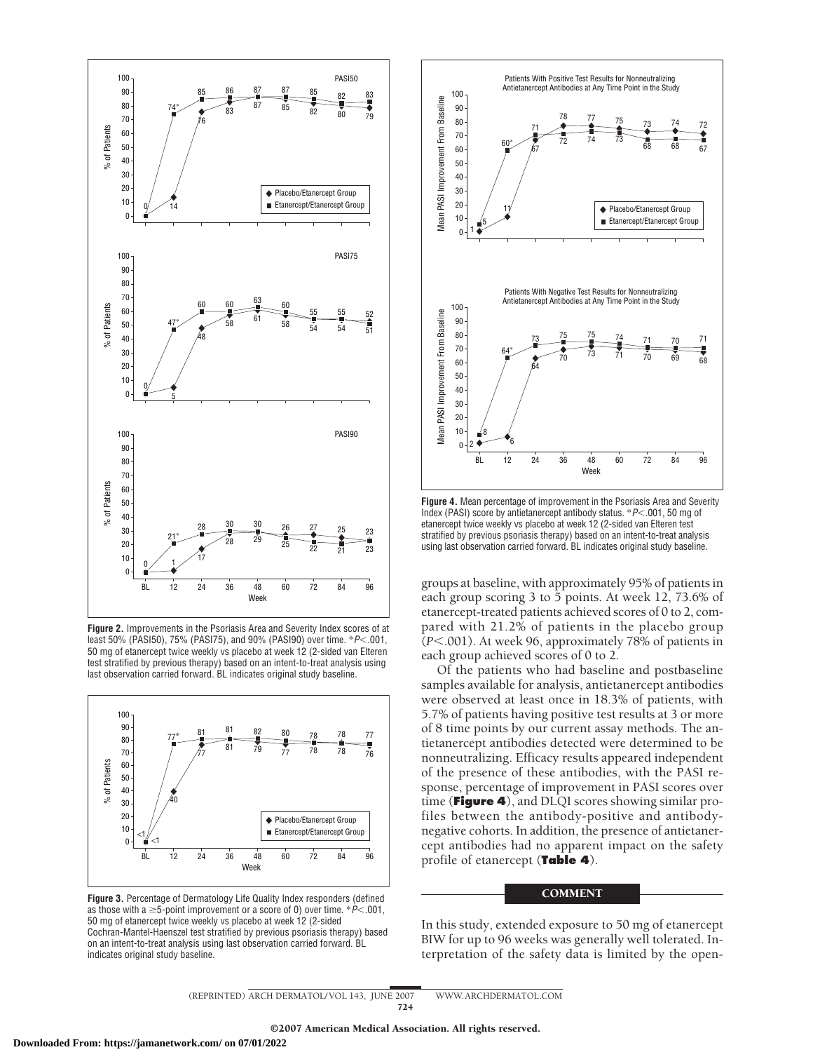

**Figure 2.** Improvements in the Psoriasis Area and Severity Index scores of at least 50% (PASI50), 75% (PASI75), and 90% (PASI90) over time.  $*P<.001$ , 50 mg of etanercept twice weekly vs placebo at week 12 (2-sided van Elteren test stratified by previous therapy) based on an intent-to-treat analysis using last observation carried forward. BL indicates original study baseline.



**Figure 3.** Percentage of Dermatology Life Quality Index responders (defined as those with a  $\geq$ 5-point improvement or a score of 0) over time.  $^*P<.001,$ 50 mg of etanercept twice weekly vs placebo at week 12 (2-sided Cochran-Mantel-Haenszel test stratified by previous psoriasis therapy) based on an intent-to-treat analysis using last observation carried forward. BL indicates original study baseline.



**Figure 4.** Mean percentage of improvement in the Psoriasis Area and Severity Index (PASI) score by antietanercept antibody status. \**P*-.001, 50 mg of etanercept twice weekly vs placebo at week 12 (2-sided van Elteren test stratified by previous psoriasis therapy) based on an intent-to-treat analysis using last observation carried forward. BL indicates original study baseline.

groups at baseline, with approximately 95% of patients in each group scoring 3 to 5 points. At week 12, 73.6% of etanercept-treated patients achieved scores of 0 to 2, compared with 21.2% of patients in the placebo group (*P*-.001). At week 96, approximately 78% of patients in each group achieved scores of 0 to 2.

Of the patients who had baseline and postbaseline samples available for analysis, antietanercept antibodies were observed at least once in 18.3% of patients, with 5.7% of patients having positive test results at 3 or more of 8 time points by our current assay methods. The antietanercept antibodies detected were determined to be nonneutralizing. Efficacy results appeared independent of the presence of these antibodies, with the PASI response, percentage of improvement in PASI scores over time (**Figure 4**), and DLQI scores showing similar profiles between the antibody-positive and antibodynegative cohorts. In addition, the presence of antietanercept antibodies had no apparent impact on the safety profile of etanercept (**Table 4**).

# **COMMENT**

In this study, extended exposure to 50 mg of etanercept BIW for up to 96 weeks was generally well tolerated. Interpretation of the safety data is limited by the open-

(REPRINTED) ARCH DERMATOL/ VOL 143, JUNE 2007 WWW.ARCHDERMATOL.COM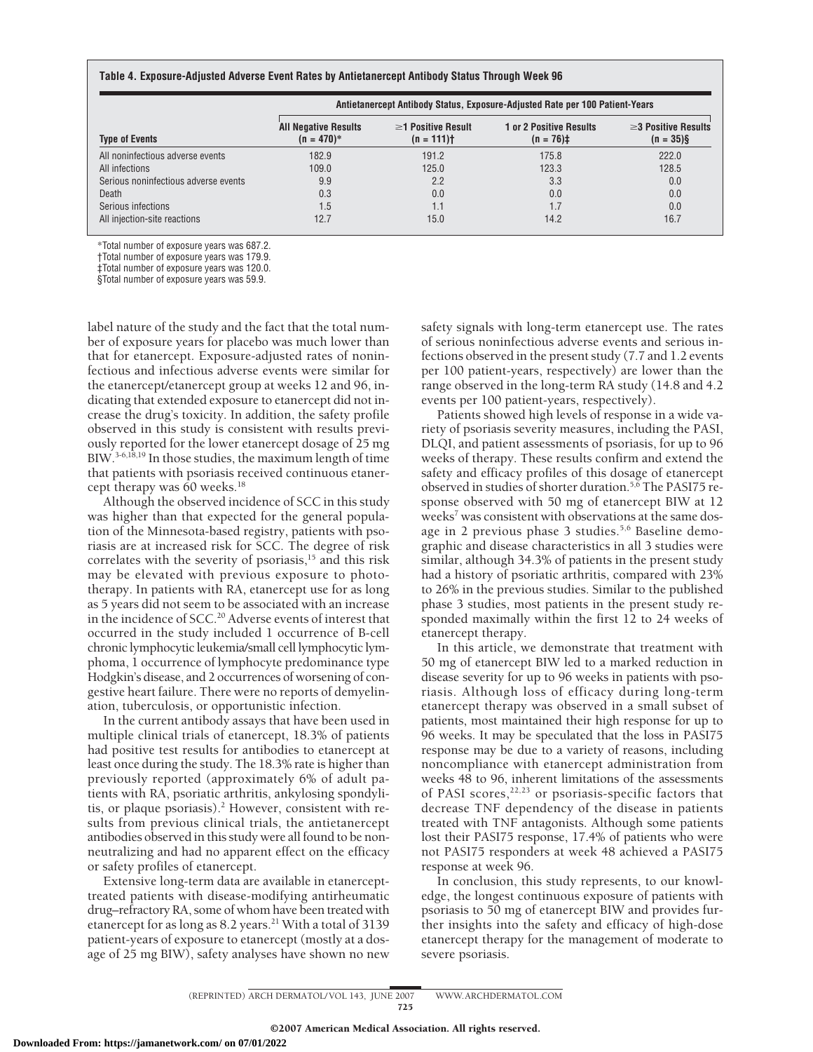|                                      | Antietanercept Antibody Status, Exposure-Adjusted Rate per 100 Patient-Years |                                         |                                                |                                           |  |
|--------------------------------------|------------------------------------------------------------------------------|-----------------------------------------|------------------------------------------------|-------------------------------------------|--|
| <b>Type of Events</b>                | <b>All Negative Results</b><br>$(n = 470)^*$                                 | $\geq$ 1 Positive Result<br>$(n = 111)$ | <b>1 or 2 Positive Results</b><br>$(n = 76)$ ‡ | $\geq$ 3 Positive Results<br>$(n = 35)$ § |  |
| All noninfectious adverse events     | 182.9                                                                        | 191.2                                   | 175.8                                          | 222.0                                     |  |
| All infections                       | 109.0                                                                        | 125.0                                   | 123.3                                          | 128.5                                     |  |
| Serious noninfectious adverse events | 9.9                                                                          | 2.2                                     | 3.3                                            | 0.0                                       |  |
| Death                                | 0.3                                                                          | 0.0                                     | 0.0                                            | 0.0                                       |  |
| Serious infections                   | 1.5                                                                          | 1.1                                     |                                                | 0.0                                       |  |
| All injection-site reactions         | 12.7                                                                         | 15.0                                    | 14.2                                           | 16.7                                      |  |

\*Total number of exposure years was 687.2.

†Total number of exposure years was 179.9.

‡Total number of exposure years was 120.0.

§Total number of exposure years was 59.9.

label nature of the study and the fact that the total number of exposure years for placebo was much lower than that for etanercept. Exposure-adjusted rates of noninfectious and infectious adverse events were similar for the etanercept/etanercept group at weeks 12 and 96, indicating that extended exposure to etanercept did not increase the drug's toxicity. In addition, the safety profile observed in this study is consistent with results previously reported for the lower etanercept dosage of 25 mg BIW.3-6,18,19 In those studies, the maximum length of time that patients with psoriasis received continuous etanercept therapy was 60 weeks.<sup>18</sup>

Although the observed incidence of SCC in this study was higher than that expected for the general population of the Minnesota-based registry, patients with psoriasis are at increased risk for SCC. The degree of risk correlates with the severity of psoriasis, $15$  and this risk may be elevated with previous exposure to phototherapy. In patients with RA, etanercept use for as long as 5 years did not seem to be associated with an increase in the incidence of SCC.<sup>20</sup> Adverse events of interest that occurred in the study included 1 occurrence of B-cell chronic lymphocytic leukemia/small cell lymphocytic lymphoma, 1 occurrence of lymphocyte predominance type Hodgkin's disease, and 2 occurrences of worsening of congestive heart failure. There were no reports of demyelination, tuberculosis, or opportunistic infection.

In the current antibody assays that have been used in multiple clinical trials of etanercept, 18.3% of patients had positive test results for antibodies to etanercept at least once during the study. The 18.3% rate is higher than previously reported (approximately 6% of adult patients with RA, psoriatic arthritis, ankylosing spondylitis, or plaque psoriasis).<sup>2</sup> However, consistent with results from previous clinical trials, the antietanercept antibodies observed in this study were all found to be nonneutralizing and had no apparent effect on the efficacy or safety profiles of etanercept.

Extensive long-term data are available in etanercepttreated patients with disease-modifying antirheumatic drug–refractory RA, some of whom have been treated with etanercept for as long as 8.2 years.<sup>21</sup> With a total of 3139 patient-years of exposure to etanercept (mostly at a dosage of 25 mg BIW), safety analyses have shown no new safety signals with long-term etanercept use. The rates of serious noninfectious adverse events and serious infections observed in the present study (7.7 and 1.2 events per 100 patient-years, respectively) are lower than the range observed in the long-term RA study (14.8 and 4.2 events per 100 patient-years, respectively).

Patients showed high levels of response in a wide variety of psoriasis severity measures, including the PASI, DLQI, and patient assessments of psoriasis, for up to 96 weeks of therapy. These results confirm and extend the safety and efficacy profiles of this dosage of etanercept observed in studies of shorter duration.5,6 The PASI75 response observed with 50 mg of etanercept BIW at 12 weeks<sup>7</sup> was consistent with observations at the same dosage in 2 previous phase 3 studies.<sup>5,6</sup> Baseline demographic and disease characteristics in all 3 studies were similar, although 34.3% of patients in the present study had a history of psoriatic arthritis, compared with 23% to 26% in the previous studies. Similar to the published phase 3 studies, most patients in the present study responded maximally within the first 12 to 24 weeks of etanercept therapy.

In this article, we demonstrate that treatment with 50 mg of etanercept BIW led to a marked reduction in disease severity for up to 96 weeks in patients with psoriasis. Although loss of efficacy during long-term etanercept therapy was observed in a small subset of patients, most maintained their high response for up to 96 weeks. It may be speculated that the loss in PASI75 response may be due to a variety of reasons, including noncompliance with etanercept administration from weeks 48 to 96, inherent limitations of the assessments of PASI scores, $22,23$  or psoriasis-specific factors that decrease TNF dependency of the disease in patients treated with TNF antagonists. Although some patients lost their PASI75 response, 17.4% of patients who were not PASI75 responders at week 48 achieved a PASI75 response at week 96.

In conclusion, this study represents, to our knowledge, the longest continuous exposure of patients with psoriasis to 50 mg of etanercept BIW and provides further insights into the safety and efficacy of high-dose etanercept therapy for the management of moderate to severe psoriasis.